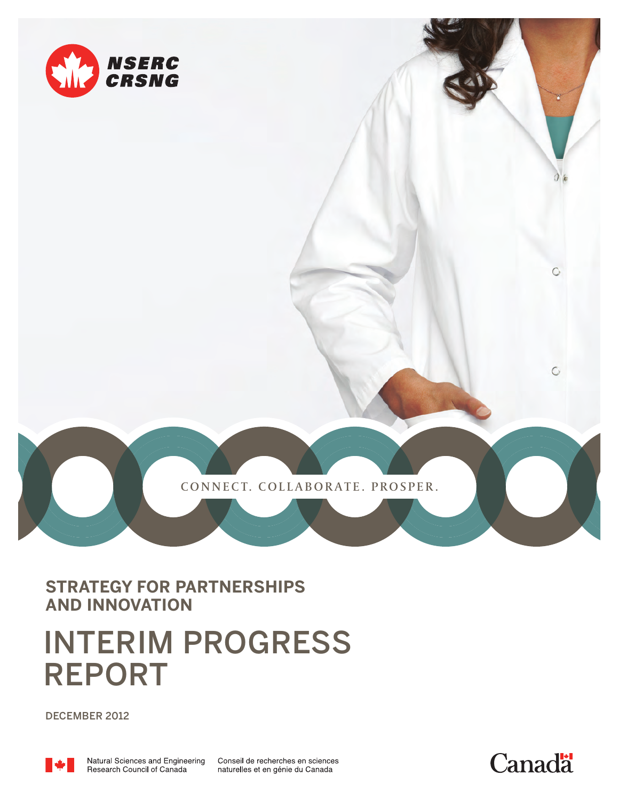

CONNECT. COLLABORATE. PROSPER.

**STRATEGY FOR PARTNERSHIPS AND INNOVATION**

# **INTERIM PROGRESS REPORT**

**DECEMBER 2012** 



Conseil de recherches en sciences naturelles et en génie du Canada



Ó

 $\circ$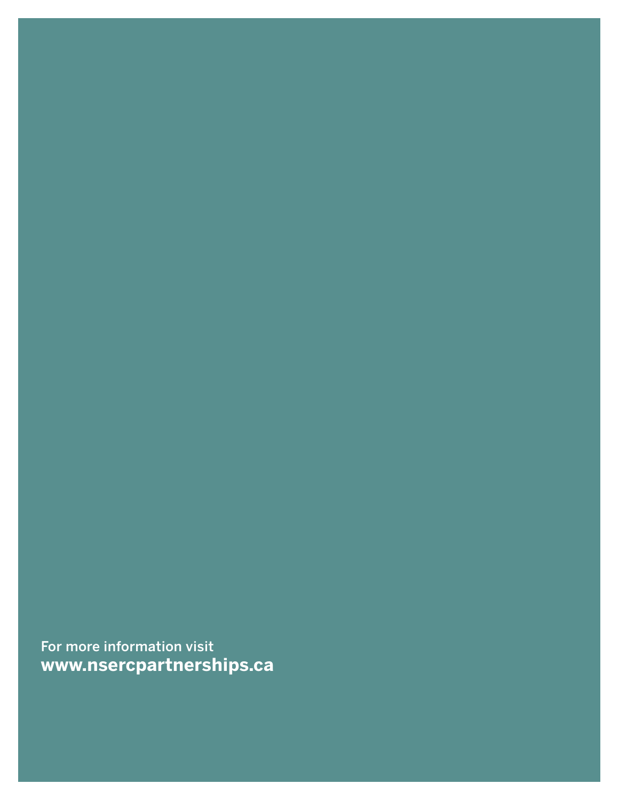**For more information visit www.nsercpartnerships.ca**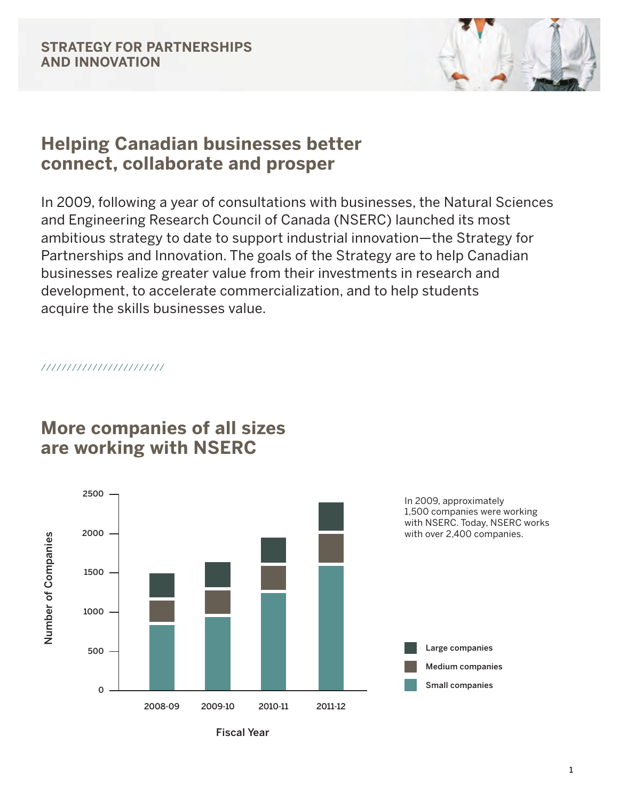

### **Helping Canadian businesses better connect, collaborate and prosper**

In 2009, following a year of consultations with businesses, the Natural Sciences and Engineering Research Council of Canada (NSERC) launched its most ambitious strategy to date to support industrial innovation—the Strategy for Partnerships and Innovation. The goals of the Strategy are to help Canadian businesses realize greater value from their investments in research and development, to accelerate commercialization, and to help students acquire the skills businesses value.

////////////////////////



### **More companies of all sizes are working with NSERC**

**Fiscal Year**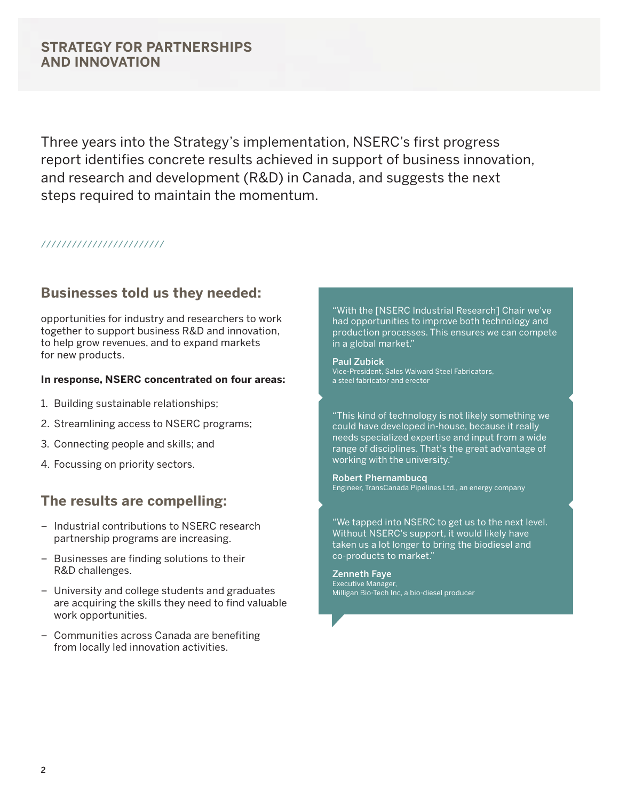### **STRATEGY FOR PARTNERSHIPS AND INNOVATION**

Three years into the Strategy's implementation, NSERC's first progress report identifies concrete results achieved in support of business innovation, and research and development (R&D) in Canada, and suggests the next steps required to maintain the momentum.

#### ////////////////////////

### **Businesses told us they needed:**

opportunities for industry and researchers to work together to support business R&D and innovation, to help grow revenues, and to expand markets for new products.

#### **In response, NSERC concentrated on four areas:**

- 1. Building sustainable relationships;
- 2. Streamlining access to NSERC programs;
- 3. Connecting people and skills; and
- 4. Focussing on priority sectors.

### **The results are compelling:**

- Industrial contributions to NSERC research partnership programs are increasing.
- Businesses are finding solutions to their R&D challenges.
- University and college students and graduates are acquiring the skills they need to find valuable work opportunities.
- Communities across Canada are benefiting from locally led innovation activities.

"With the [NSERC Industrial Research] Chair we've had opportunities to improve both technology and production processes. This ensures we can compete in a global market."

**Paul Zubick** Vice-President, Sales Waiward Steel Fabricators, a steel fabricator and erector

"This kind of technology is not likely something we could have developed in-house, because it really needs specialized expertise and input from a wide range of disciplines. That's the great advantage of working with the university."

**Robert Phernambucq** Engineer, TransCanada Pipelines Ltd., an energy company

"We tapped into NSERC to get us to the next level. Without NSERC's support, it would likely have taken us a lot longer to bring the biodiesel and co-products to market."

**Zenneth Faye** Executive Manager, Milligan Bio-Tech Inc, a bio-diesel producer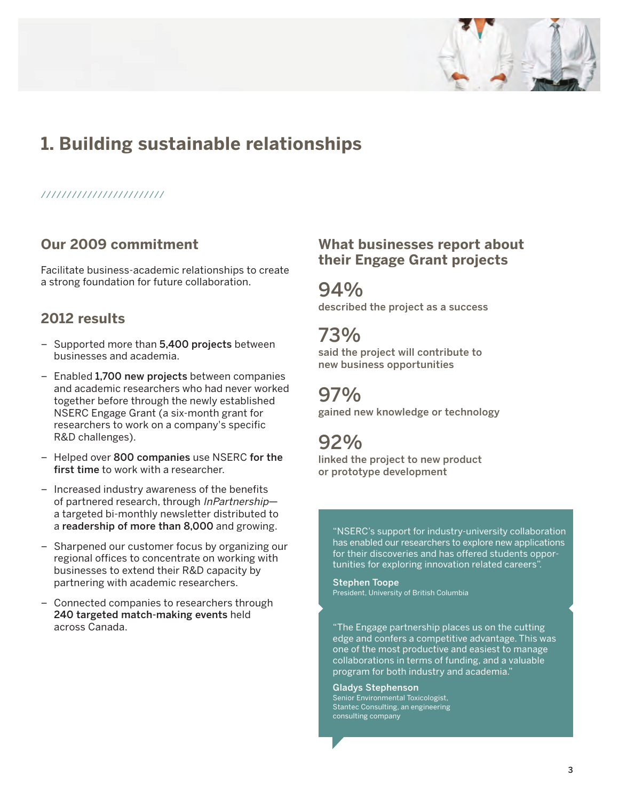

### **1. Building sustainable relationships**

#### ////////////////////////

### **Our 2009 commitment**

Facilitate business-academic relationships to create a strong foundation for future collaboration.

### **2012 results**

- Supported more than **5,400 projects** between businesses and academia.
- Enabled **1,700 new projects** between companies and academic researchers who had never worked together before through the newly established NSERC Engage Grant (a six-month grant for researchers to work on a company's specific R&D challenges).
- Helped over **800 companies** use NSERC **for the first time** to work with a researcher.
- Increased industry awareness of the benefits of partnered research, through InPartnershipa targeted bi-monthly newsletter distributed to a **readership of more than 8,000** and growing.
- Sharpened our customer focus by organizing our regional offices to concentrate on working with businesses to extend their R&D capacity by partnering with academic researchers.
- Connected companies to researchers through **240 targeted match-making events** held across Canada.

### **What businesses report about their Engage Grant projects**

**94%**

**described the project as a success**

### **73%**

**said the project will contribute to new business opportunities**

### **97%**

**gained new knowledge or technology**

### **92%**

**linked the project to new product or prototype development**

"NSERC's support for industry-university collaboration has enabled our researchers to explore new applications for their discoveries and has offered students opportunities for exploring innovation related careers".

**Stephen Toope** President, University of British Columbia

"The Engage partnership places us on the cutting edge and confers a competitive advantage. This was one of the most productive and easiest to manage collaborations in terms of funding, and a valuable program for both industry and academia."

**Gladys Stephenson** Senior Environmental Toxicologist, Stantec Consulting, an engineering consulting company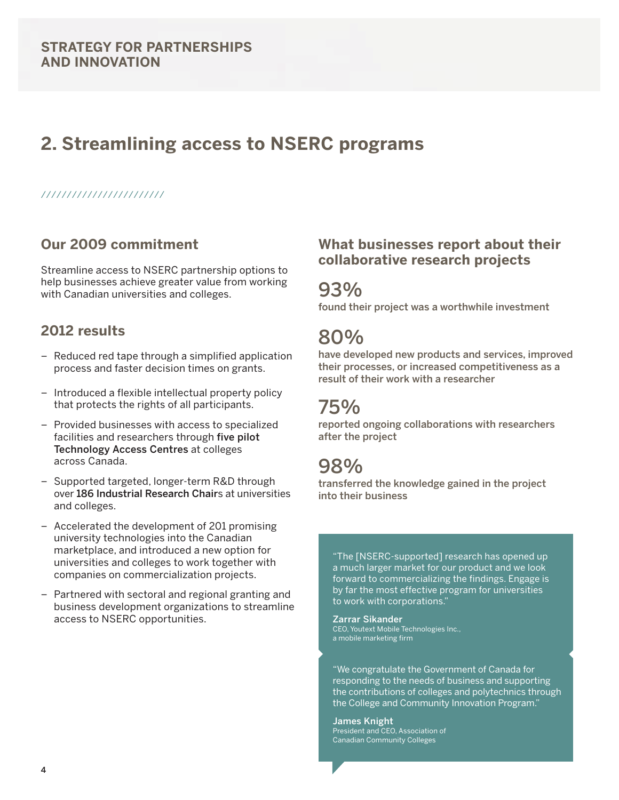### **2. Streamlining access to NSERC programs**

#### ////////////////////////

### **Our 2009 commitment**

Streamline access to NSERC partnership options to help businesses achieve greater value from working with Canadian universities and colleges.

### **2012 results**

- Reduced red tape through a simplified application process and faster decision times on grants.
- Introduced a flexible intellectual property policy that protects the rights of all participants.
- Provided businesses with access to specialized facilities and researchers through **five pilot Technology Access Centres** at colleges across Canada.
- Supported targeted, longer-term R&D through over **186 Industrial Research Chair**s at universities and colleges.
- Accelerated the development of 201 promising university technologies into the Canadian marketplace, and introduced a new option for universities and colleges to work together with companies on commercialization projects.
- Partnered with sectoral and regional granting and business development organizations to streamline access to NSERC opportunities.

#### **What businesses report about their collaborative research projects**

### **93%**

**found their project was a worthwhile investment**

### **80%**

**have developed new products and services, improved their processes, or increased competitiveness as a result of their work with a researcher**

## **75%**

**reported ongoing collaborations with researchers after the project**

### **98%**

**transferred the knowledge gained in the project into their business**

"The [NSERC-supported] research has opened up a much larger market for our product and we look forward to commercializing the findings. Engage is by far the most effective program for universities to work with corporations."

#### **Zarrar Sikander**

CEO, Youtext Mobile Technologies Inc., a mobile marketing firm

"We congratulate the Government of Canada for responding to the needs of business and supporting the contributions of colleges and polytechnics through the College and Community Innovation Program."

**James Knight**  President and CEO, Association of Canadian Community Colleges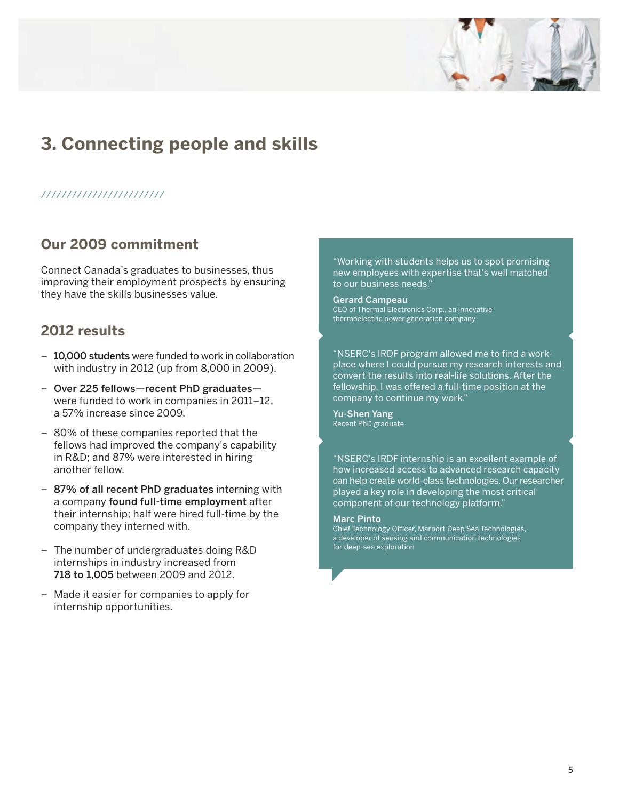

## **3. Connecting people and skills**

#### ////////////////////////

### **Our 2009 commitment**

Connect Canada's graduates to businesses, thus improving their employment prospects by ensuring they have the skills businesses value.

### **2012 results**

- **10,000 students** were funded to work in collaboration with industry in 2012 (up from 8,000 in 2009).
- **Over 225 fellows**—**recent PhD graduates** were funded to work in companies in 2011–12, a 57% increase since 2009.
- 80% of these companies reported that the fellows had improved the company's capability in R&D; and 87% were interested in hiring another fellow.
- **87% of all recent PhD graduates** interning with a company **found full-time employment** after their internship; half were hired full-time by the company they interned with.
- The number of undergraduates doing R&D internships in industry increased from **718 to 1,005** between 2009 and 2012.
- Made it easier for companies to apply for internship opportunities.

"Working with students helps us to spot promising new employees with expertise that's well matched to our business needs."

**Gerard Campeau**  CEO of Thermal Electronics Corp., an innovative thermoelectric power generation company

"NSERC's IRDF program allowed me to find a workplace where I could pursue my research interests and convert the results into real-life solutions. After the fellowship, I was offered a full-time position at the company to continue my work."

**Yu-Shen Yang**  Recent PhD graduate

"NSERC's IRDF internship is an excellent example of how increased access to advanced research capacity can help create world-class technologies. Our researcher played a key role in developing the most critical component of our technology platform."

#### **Marc Pinto**

Chief Technology Officer, Marport Deep Sea Technologies, a developer of sensing and communication technologies for deep-sea exploration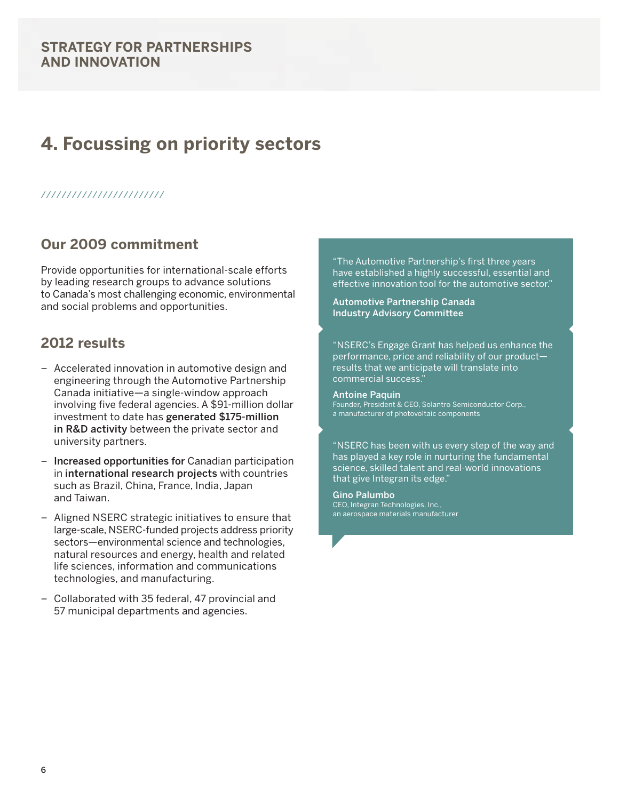### **STRATEGY FOR PARTNERSHIPS AND INNOVATION**

### **4. Focussing on priority sectors**

#### ////////////////////////

### **Our 2009 commitment**

Provide opportunities for international-scale efforts by leading research groups to advance solutions to Canada's most challenging economic, environmental and social problems and opportunities.

### **2012 results**

- Accelerated innovation in automotive design and engineering through the Automotive Partnership Canada initiative—a single-window approach involving five federal agencies. A \$91-million dollar investment to date has **generated \$175-million in R&D activity** between the private sector and university partners.
- **Increased opportunities for** Canadian participation in **international research projects** with countries such as Brazil, China, France, India, Japan and Taiwan.
- Aligned NSERC strategic initiatives to ensure that large-scale, NSERC-funded projects address priority sectors—environmental science and technologies, natural resources and energy, health and related life sciences, information and communications technologies, and manufacturing.
- Collaborated with 35 federal, 47 provincial and 57 municipal departments and agencies.

"The Automotive Partnership's first three years have established a highly successful, essential and effective innovation tool for the automotive sector."

**Automotive Partnership Canada Industry Advisory Committee**

"NSERC's Engage Grant has helped us enhance the performance, price and reliability of our product results that we anticipate will translate into commercial success."

**Antoine Paquin**  Founder, President & CEO, Solantro Semiconductor Corp., a manufacturer of photovoltaic components

"NSERC has been with us every step of the way and has played a key role in nurturing the fundamental science, skilled talent and real-world innovations that give Integran its edge."

**Gino Palumbo** CEO, Integran Technologies, Inc., an aerospace materials manufacturer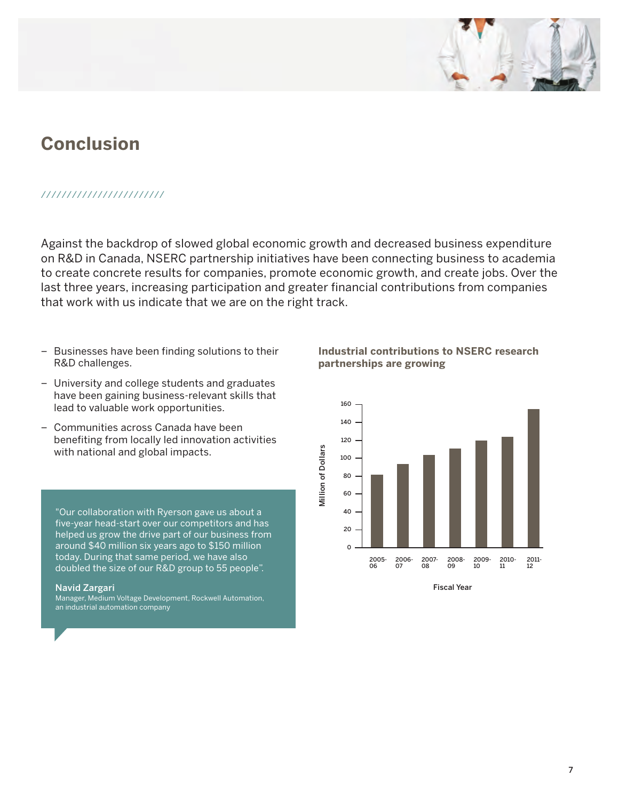### **Conclusion**

#### ////////////////////////

Against the backdrop of slowed global economic growth and decreased business expenditure on R&D in Canada, NSERC partnership initiatives have been connecting business to academia to create concrete results for companies, promote economic growth, and create jobs. Over the last three years, increasing participation and greater financial contributions from companies that work with us indicate that we are on the right track.

- Businesses have been finding solutions to their R&D challenges.
- University and college students and graduates have been gaining business-relevant skills that lead to valuable work opportunities.
- Communities across Canada have been benefiting from locally led innovation activities with national and global impacts.

"Our collaboration with Ryerson gave us about a five-year head-start over our competitors and has helped us grow the drive part of our business from around \$40 million six years ago to \$150 million today. During that same period, we have also doubled the size of our R&D group to 55 people".

#### **Navid Zargari**

Manager, Medium Voltage Development, Rockwell Automation, an industrial automation company

**Industrial contributions to NSERC research partnerships are growing**



**Fiscal Year**